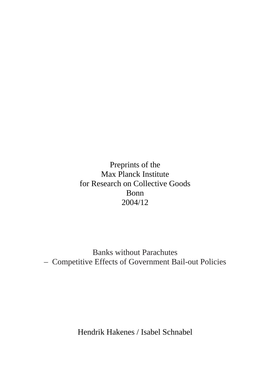Preprints of the Max Planck Institute for Research on Collective Goods Bonn 2004/12

Banks without Parachutes – Competitive Effects of Government Bail-out Policies

Hendrik Hakenes / Isabel Schnabel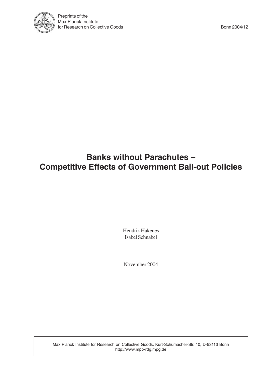

# **Banks without Parachutes – Competitive Effects of Government Bail-out Policies**

Hendrik Hakenes Isabel Schnabel

November 2004

Max Planck Institute for Research on Collective Goods, Kurt-Schumacher-Str. 10, D-53113 Bonn http://www.mpp-rdg.mpg.de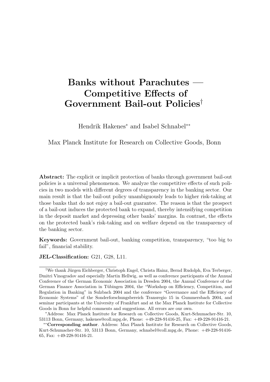# **Banks without Parachutes — Competitive Effects of Government Bail-out Policies**†

Hendrik Hakenes<sup>∗</sup> and Isabel Schnabel∗∗

Max Planck Institute for Research on Collective Goods, Bonn

**Abstract:** The explicit or implicit protection of banks through government bail-out policies is a universal phenomenon. We analyze the competitive effects of such policies in two models with different degrees of transparency in the banking sector. Our main result is that the bail-out policy unambiguously leads to higher risk-taking at those banks that do not enjoy a bail-out guarantee. The reason is that the prospect of a bail-out induces the protected bank to expand, thereby intensifying competition in the deposit market and depressing other banks' margins. In contrast, the effects on the protected bank's risk-taking and on welfare depend on the transparency of the banking sector.

**Keywords:** Government bail-out, banking competition, transparency, "too big to fail", financial stability.

**JEL-Classification:** G21, G28, L11.

<sup>&</sup>lt;sup>†</sup>We thank Jürgen Eichberger, Christoph Engel, Christa Hainz, Bernd Rudolph, Eva Terberger, Dmitri Vinogradov and especially Martin Hellwig, as well as conference participants of the Annual Conference of the German Economic Association in Dresden 2004, the Annual Conference of the German Finance Association in Tübingen 2004, the "Workshop on Efficiency, Competition, and Regulation in Banking" in Sulzbach 2004 and the conference "Governance and the Efficiency of Economic Systems" of the Sonderforschungsbereich Transregio 15 in Gummersbach 2004, and seminar participants at the University of Frankfurt and at the Max Planck Institute for Collective Goods in Bonn for helpful comments and suggestions. All errors are our own.

<sup>∗</sup>Address: Max Planck Institute for Research on Collective Goods, Kurt-Schumacher-Str. 10, 53113 Bonn, Germany, hakenes@coll.mpg.de, Phone: +49-228-91416-25, Fax: +49-228-91416-21.

<sup>∗∗</sup>**Corresponding author**. Address: Max Planck Institute for Research on Collective Goods, Kurt-Schumacher-Str. 10, 53113 Bonn, Germany, schnabel@coll.mpg.de, Phone: +49-228-91416- 65, Fax: +49-228-91416-21.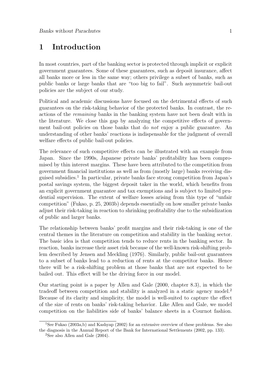# **1 Introduction**

In most countries, part of the banking sector is protected through implicit or explicit government guarantees. Some of these guarantees, such as deposit insurance, affect all banks more or less in the same way; others privilege a subset of banks, such as public banks or large banks that are "too big to fail". Such asymmetric bail-out policies are the subject of our study.

Political and academic discussions have focused on the detrimental effects of such guarantees on the risk-taking behavior of the protected banks. In contrast, the reactions of the remaining banks in the banking system have not been dealt with in the literature. We close this gap by analyzing the competitive effects of government bail-out policies on those banks that do not enjoy a public guarantee. An understanding of other banks' reactions is indispensable for the judgment of overall welfare effects of public bail-out policies.

The relevance of such competitive effects can be illustrated with an example from Japan. Since the 1990s, Japanese private banks' profitability has been compromised by thin interest margins. These have been attributed to the competition from government financial institutions as well as from (mostly large) banks receiving disguised subsidies.<sup>1</sup> In particular, private banks face strong competition from Japan's postal savings system, the biggest deposit taker in the world, which benefits from an explicit government guarantee and tax exemptions and is subject to limited prudential supervision. The extent of welfare losses arising from this type of "unfair competition" (Fukao, p. 25, 2003b) depends essentially on how smaller private banks adjust their risk-taking in reaction to shrinking profitability due to the subsidization of public and larger banks.

The relationship between banks' profit margins and their risk-taking is one of the central themes in the literature on competition and stability in the banking sector. The basic idea is that competition tends to reduce rents in the banking sector. In reaction, banks increase their asset risk because of the well-known risk-shifting problem described by Jensen and Meckling (1976). Similarly, public bail-out guarantees to a subset of banks lead to a reduction of rents at the competitor banks. Hence there will be a risk-shifting problem at those banks that are not expected to be bailed out. This effect will be the driving force in our model.

Our starting point is a paper by Allen and Gale (2000, chapter 8.3), in which the tradeoff between competition and stability is analyzed in a static agency model.<sup>2</sup> Because of its clarity and simplicity, the model is well-suited to capture the effect of the size of rents on banks' risk-taking behavior. Like Allen and Gale, we model competition on the liabilities side of banks' balance sheets in a Cournot fashion.

<sup>&</sup>lt;sup>1</sup>See Fukao (2003a,b) and Kashyap (2002) for an extensive overview of these problems. See also the diagnosis in the Annual Report of the Bank for International Settlements (2002, pp. 133).

<sup>&</sup>lt;sup>2</sup>See also Allen and Gale  $(2004)$ .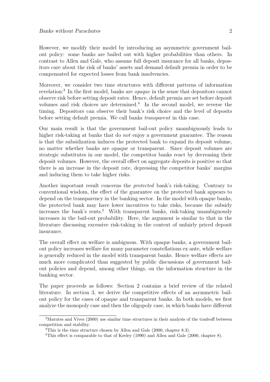However, we modify their model by introducing an asymmetric government bailout policy: some banks are bailed out with higher probabilities than others. In contrast to Allen and Gale, who assume full deposit insurance for all banks, depositors care about the risk of banks' assets and demand default premia in order to be compensated for expected losses from bank insolvencies.

Moreover, we consider two time structures with different patterns of information revelation:<sup>3</sup> In the first model, banks are opaque in the sense that depositors cannot observe risk before setting deposit rates. Hence, default premia are set before deposit volumes and risk choices are determined.<sup>4</sup> In the second model, we reverse the timing. Depositors can observe their bank's risk choice and the level of deposits before setting default premia. We call banks transparent in this case.

Our main result is that the government bail-out policy unambiguously leads to higher risk-taking at banks that do *not* enjoy a government guarantee. The reason is that the subsidization induces the protected bank to expand its deposit volume, no matter whether banks are opaque or transparent. Since deposit volumes are strategic substitutes in our model, the competitor banks react by decreasing their deposit volumes. However, the overall effect on aggregate deposits is positive so that there is an increase in the deposit rate, depressing the competitor banks' margins and inducing them to take higher risks.

Another important result concerns the protected bank's risk-taking. Contrary to conventional wisdom, the effect of the guarantee on the protected bank appears to depend on the transparency in the banking sector. In the model with opaque banks, the protected bank may have lower incentives to take risks, because the subsidy increases the bank's rents.<sup>5</sup> With transparent banks, risk-taking unambiguously increases in the bail-out probability. Here, the argument is similar to that in the literature discussing excessive risk-taking in the context of unfairly priced deposit insurance.

The overall effect on welfare is ambiguous. With opaque banks, a government bailout policy increases welfare for many parameter constellations ex ante, while welfare is generally reduced in the model with transparent banks. Hence welfare effects are much more complicated than suggested by public discussions of government bailout policies and depend, among other things, on the information structure in the banking sector.

The paper proceeds as follows: Section 2 contains a brief review of the related literature. In section 3, we derive the competitive effects of an asymmetric bailout policy for the cases of opaque and transparent banks. In both models, we first analyze the monopoly case and then the oligopoly case, in which banks have different

<sup>&</sup>lt;sup>3</sup>Matutes and Vives (2000) use similar time structures in their analysis of the tradeoff between competition and stability.

<sup>&</sup>lt;sup>4</sup>This is the time structure chosen by Allen and Gale (2000, chapter 8.3).

 $5$ This effect is comparable to that of Keeley (1990) and Allen and Gale (2000, chapter 8).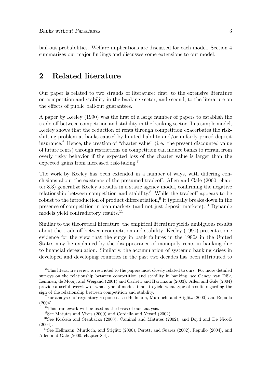bail-out probabilities. Welfare implications are discussed for each model. Section 4 summarizes our major findings and discusses some extensions to our model.

## **2 Related literature**

Our paper is related to two strands of literature: first, to the extensive literature on competition and stability in the banking sector; and second, to the literature on the effects of public bail-out guarantees.

A paper by Keeley (1990) was the first of a large number of papers to establish the trade-off between competition and stability in the banking sector. In a simple model, Keeley shows that the reduction of rents through competition exacerbates the riskshifting problem at banks caused by limited liability and/or unfairly priced deposit insurance.<sup>6</sup> Hence, the creation of "charter value" (i. e., the present discounted value of future rents) through restrictions on competition can induce banks to refrain from overly risky behavior if the expected loss of the charter value is larger than the expected gains from increased risk-taking.<sup>7</sup>

The work by Keeley has been extended in a number of ways, with differing conclusions about the existence of the presumed tradeoff. Allen and Gale (2000, chapter 8.3) generalize Keeley's results in a static agency model, confirming the negative relationship between competition and stability.<sup>8</sup> While the tradeoff appears to be robust to the introduction of product differentiation,<sup>9</sup> it typically breaks down in the presence of competition in loan markets (and not just deposit markets).<sup>10</sup> Dynamic models yield contradictory results.<sup>11</sup>

Similar to the theoretical literature, the empirical literature yields ambiguous results about the trade-off between competition and stability. Keeley (1990) presents some evidence for the view that the surge in bank failures in the 1980s in the United States may be explained by the disappearance of monopoly rents in banking due to financial deregulation. Similarly, the accumulation of systemic banking crises in developed and developing countries in the past two decades has been attributed to

<sup>&</sup>lt;sup>6</sup>This literature review is restricted to the papers most closely related to ours. For more detailed surveys on the relationship between competition and stability in banking, see Canoy, van Dijk, Lemmen, de Mooij, and Weigand (2001) and Carletti and Hartmann (2003). Allen and Gale (2004) provide a useful overview of what type of models tends to yield what type of results regarding the sign of the relationship between competition and stability.

<sup>7</sup>For analyses of regulatory responses, see Hellmann, Murdoch, and Stiglitz (2000) and Repullo (2004).

<sup>8</sup>This framework will be used as the basis of our analysis.

<sup>9</sup>See Matutes and Vives (2000) and Cordella and Yeyati (2002).

 $10$ See Koskela and Stenbacka (2000), Caminal and Matutes (2002), and Boyd and De Nicolò (2004).

<sup>&</sup>lt;sup>11</sup>See Hellmann, Murdoch, and Stiglitz  $(2000)$ , Perotti and Suarez  $(2002)$ , Repullo  $(2004)$ , and Allen and Gale (2000, chapter 8.4).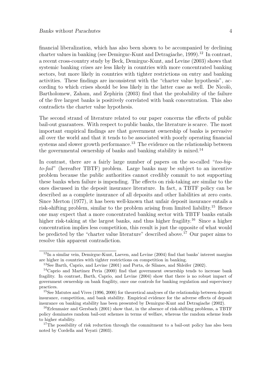financial liberalization, which has also been shown to be accompanied by declining charter values in banking (see Demirguc-Kunt and Detragiache, 1999).<sup>12</sup> In contrast, a recent cross-country study by Beck, Demirguc-Kunt, and Levine (2003) shows that systemic banking crises are less likely in countries with more concentrated banking sectors, but more likely in countries with tighter restrictions on entry and banking activities. These findings are inconsistent with the "charter value hypothesis", according to which crises should be less likely in the latter case as well. De Nicolò, Bartholomew, Zaham, and Zephirin (2003) find that the probability of the failure of the five largest banks is positively correlated with bank concentration. This also contradicts the charter value hypothesis.

The second strand of literature related to our paper concerns the effects of public bail-out guarantees. With respect to public banks, the literature is scarce. The most important empirical findings are that government ownership of banks is pervasive all over the world and that it tends to be associated with poorly operating financial systems and slower growth performance.<sup>13</sup> The evidence on the relationship between the governmental ownership of banks and banking stability is mixed.<sup>14</sup>

In contrast, there are a fairly large number of papers on the so-called "too-bigto-fail" (hereafter TBTF) problem. Large banks may be subject to an incentive problem because the public authorities cannot credibly commit to not supporting these banks when failure is impending. The effects on risk-taking are similar to the ones discussed in the deposit insurance literature. In fact, a TBTF policy can be described as a complete insurance of all deposits and other liabilities at zero costs. Since Merton (1977), it has been well-known that unfair deposit insurance entails a risk-shifting problem, similar to the problem arising from limited liability.<sup>15</sup> Hence one may expect that a more concentrated banking sector with TBTF banks entails higher risk-taking at the largest banks, and thus higher fragility.<sup>16</sup> Since a higher concentration implies less competition, this result is just the opposite of what would be predicted by the "charter value literature" described above.<sup>17</sup> Our paper aims to resolve this apparent contradiction.

 $12$ In a similar vein, Demirguc-Kunt, Laeven, and Levine (2004) find that banks' interest margins are higher in countries with tighter restrictions on competition in banking.

<sup>13</sup>See Barth, Caprio, and Levine (2001) and Porta, de Silanes, and Shleifer (2002).

<sup>14</sup>Caprio and Martinez Peria (2000) find that government ownership tends to increase bank fragility. In contrast, Barth, Caprio, and Levine (2004) show that there is no robust impact of government ownership on bank fragility, once one controls for banking regulation and supervisory practices.

<sup>15</sup>See Matutes and Vives (1996, 2000) for theoretical analyses of the relationship between deposit insurance, competition, and bank stability. Empirical evidence for the adverse effects of deposit insurance on banking stability has been presented by Demirguc-Kunt and Detragiache (2002).

<sup>&</sup>lt;sup>16</sup>Erlenmaier and Gersbach (2001) show that, in the absence of risk-shifting problems, a TBTF policy dominates random bail-out schemes in terms of welfare, whereas the random scheme leads to higher stability.

<sup>&</sup>lt;sup>17</sup>The possibility of risk reduction through the commitment to a bail-out policy has also been noted by Cordella and Yeyati (2003).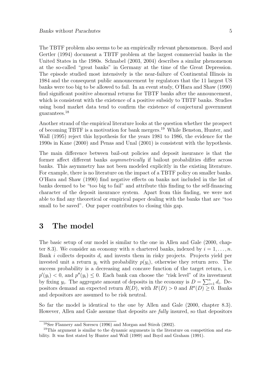The TBTF problem also seems to be an empirically relevant phenomenon. Boyd and Gertler (1994) document a TBTF problem at the largest commercial banks in the United States in the 1980s. Schnabel (2003, 2004) describes a similar phenomenon at the so-called "great banks" in Germany at the time of the Great Depression. The episode studied most intensively is the near-failure of Continental Illinois in 1984 and the consequent public announcement by regulators that the 11 largest US banks were too big to be allowed to fail. In an event study, O'Hara and Shaw (1990) find significant positive abnormal returns for TBTF banks after the announcement, which is consistent with the existence of a positive subsidy to TBTF banks. Studies using bond market data tend to confirm the existence of conjectural government guarantees.<sup>18</sup>

Another strand of the empirical literature looks at the question whether the prospect of becoming TBTF is a motivation for bank mergers.<sup>19</sup> While Benston, Hunter, and Wall (1995) reject this hypothesis for the years 1981 to 1986, the evidence for the 1990s in Kane (2000) and Penas and Unal (2001) is consistent with the hypothesis.

The main difference between bail-out policies and deposit insurance is that the former affect different banks asymmetrically if bailout probabilities differ across banks. This asymmetry has not been modeled explicitly in the existing literature. For example, there is no literature on the impact of a TBTF policy on smaller banks. O'Hara and Shaw (1990) find negative effects on banks not included in the list of banks deemed to be "too big to fail" and attribute this finding to the self-financing character of the deposit insurance system. Apart from this finding, we were not able to find any theoretical or empirical paper dealing with the banks that are "too small to be saved". Our paper contributes to closing this gap.

## **3 The model**

The basic setup of our model is similar to the one in Allen and Gale (2000, chapter 8.3). We consider an economy with n chartered banks, indexed by  $i = 1, \ldots, n$ . Bank  $i$  collects deposits  $d_i$  and invests them in risky projects. Projects yield per invested unit a return  $y_i$  with probability  $p(y_i)$ , otherwise they return zero. The success probability is a decreasing and concave function of the target return, i. e.  $p'(y_i) < 0$ , and  $p''(y_i) \leq 0$ . Each bank can choose the "risk level" of its investment by fixing  $y_i$ . The aggregate amount of deposits in the economy is  $D = \sum_{i=1}^n d_i$ . Depositors demand an expected return  $R(D)$ , with  $R'(D) > 0$  and  $R''(D) \geq 0$ . Banks and depositors are assumed to be risk neutral.

So far the model is identical to the one by Allen and Gale (2000, chapter 8.3). However, Allen and Gale assume that deposits are fully insured, so that depositors

<sup>18</sup>See Flannery and Sorescu (1996) and Morgan and Stiroh (2002).

<sup>&</sup>lt;sup>19</sup>This argument is similar to the dynamic arguments in the literature on competition and stability. It was first stated by Hunter and Wall (1989) and Boyd and Graham (1991).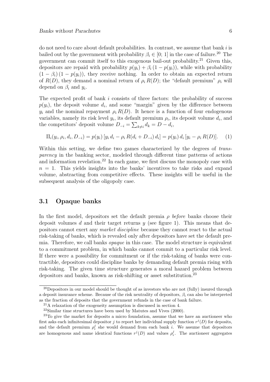do not need to care about default probabilities. In contrast, we assume that bank  $i$  is bailed out by the government with probability  $\beta_i \in [0; 1]$  in the case of failure.<sup>20</sup> The government can commit itself to this exogenous bail-out probability.<sup>21</sup> Given this, depositors are repaid with probability  $p(y_i) + \beta_i (1 - p(y_i))$ , while with probability  $(1 - \beta_i) (1 - p(y_i))$ , they receive nothing. In order to obtain an expected return of  $R(D)$ , they demand a nominal return of  $\rho_i R(D)$ ; the "default premium"  $\rho_i$  will depend on  $\beta_i$  and  $y_i$ .

The expected profit of bank  $i$  consists of three factors: the probability of success  $p(y_i)$ , the deposit volume  $d_i$ , and some "margin" given by the difference between  $y_i$  and the nominal repayment  $\rho_i R(D)$ . It hence is a function of four endogenous variables, namely its risk level  $y_i$ , its default premium  $\rho_i$ , its deposit volume  $d_i$ , and the competitors' deposit volume  $D_{-i} = \sum_{k \neq i} d_k = D - d_i$ ,

$$
\Pi_i(y_i, \rho_i, d_i, D_{-i}) = p(y_i) \left[ y_i d_i - \rho_i R(d_i + D_{-i}) d_i \right] = p(y_i) d_i \left[ y_i - \rho_i R(D) \right]. \tag{1}
$$

Within this setting, we define two games characterized by the degrees of transparency in the banking sector, modeled through different time patterns of actions and information revelation.<sup>22</sup> In each game, we first discuss the monopoly case with  $n = 1$ . This yields insights into the banks' incentives to take risks and expand volume, abstracting from competitive effects. These insights will be useful in the subsequent analysis of the oligopoly case.

### **3.1 Opaque banks**

In the first model, depositors set the default premia  $\rho$  before banks choose their deposit volumes d and their target returns  $y$  (see figure 1). This means that depositors cannot exert any market discipline because they cannot react to the actual risk-taking of banks, which is revealed only after depositors have set the default premia. Therefore, we call banks opaque in this case. The model structure is equivalent to a commitment problem, in which banks cannot commit to a particular risk level. If there were a possibility for commitment or if the risk-taking of banks were contractible, depositors could discipline banks by demanding default premia rising with risk-taking. The given time structure generates a moral hazard problem between depositors and banks, known as risk-shifting or asset substitution.<sup>23</sup>

 $^{20}$ Depositors in our model should be thought of as investors who are not (fully) insured through a deposit insurance scheme. Because of the risk neutrality of depositors,  $\beta_i$  can also be interpreted as the fraction of deposits that the government refunds in the case of bank failure.

<sup>21</sup>A relaxation of the exogeneity assumption is discussed in section 4.

 $22$ Similar time structures have been used by Matutes and Vives (2000).

<sup>&</sup>lt;sup>23</sup>To give the market for deposits a micro foundation, assume that we have an auctioneer who first asks each infinitesimal depositor j to report her individual supply function  $r^{j}(D)$  for deposits, and the default premium  $\rho_i^j$  she would demand from each bank i. We assume that depositors are homogenous and name identical functions  $r^{j}(D)$  and values  $\rho_i^j$ . The auctioneer aggregates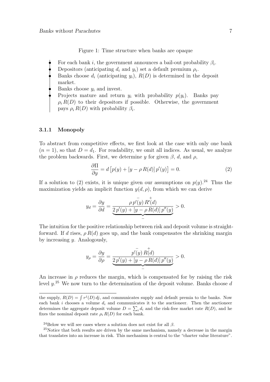Figure 1: Time structure when banks are opaque

- For each bank i, the government announces a bail-out probability  $\beta_i$ .
- Depositors (anticipating  $d_i$  and  $y_i$ ) set a default premium  $\rho_i$ .
- Banks choose  $d_i$  (anticipating  $y_i$ ),  $R(D)$  is determined in the deposit market.
- Banks choose  $y_i$  and invest.
- Projects mature and return  $y_i$  with probability  $p(y_i)$ . Banks pay  $\rho_i R(D)$  to their depositors if possible. Otherwise, the government pays  $\rho_i R(D)$  with probability  $\beta_i$ .

#### **3.1.1 Monopoly**

To abstract from competitive effects, we first look at the case with only one bank  $(n = 1)$ , so that  $D = d_1$ . For readability, we omit all indices. As usual, we analyze the problem backwards. First, we determine y for given  $\beta$ , d, and  $\rho$ ,

$$
\frac{\partial \Pi}{\partial y} = d \left[ p(y) + \left[ y - \rho R(d) \right] p'(y) \right] = 0. \tag{2}
$$

If a solution to (2) exists, it is unique given our assumptions on  $p(y)$ .<sup>24</sup> Thus the maximization yields an implicit function  $y(d, \rho)$ , from which we can derive

$$
y_d = \frac{\partial y}{\partial d} = \underbrace{\frac{\rho p'(y) R'(d)}{2p'(y) + [y - \rho R(d)] p''(y)}}_{-} > 0.
$$

The intuition for the positive relationship between risk and deposit volume is straightforward. If d rises,  $\rho R(d)$  goes up, and the bank compensates the shrinking margin by increasing y. Analogously,

$$
y_{\rho} = \frac{\partial y}{\partial \rho} = \underbrace{\frac{p'(y) R(d)}{2p'(y) + [y - \rho R(d)] p''(y)}}_{-} > 0.
$$

An increase in  $\rho$  reduces the margin, which is compensated for by raising the risk level  $y^{25}$  We now turn to the determination of the deposit volume. Banks choose d

the supply,  $R(D) = \int r^{j}(D) d j$ , and communicates supply and default premia to the banks. Now each bank i chooses a volume  $d_i$  and communicates it to the auctioneer. Then the auctioneer determines the aggregate deposit volume  $D = \sum_i d_i$  and the risk-free market rate  $R(D)$ , and he fixes the nominal deposit rate  $\rho_i R(D)$  for each bank.

<sup>&</sup>lt;sup>24</sup>Below we will see cases where a solution does not exist for all  $\beta$ .

<sup>&</sup>lt;sup>25</sup>Notice that both results are driven by the same mechanism, namely a decrease in the margin that translates into an increase in risk. This mechanism is central to the "charter value literature".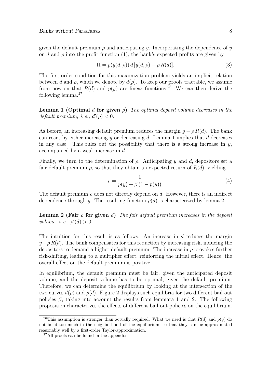given the default premium  $\rho$  and anticipating y. Incorporating the dependence of y on d and  $\rho$  into the profit function (1), the bank's expected profits are given by

$$
\Pi = p(y(d, \rho)) d [y(d, \rho) - \rho R(d)]. \tag{3}
$$

The first-order condition for this maximization problem yields an implicit relation between d and  $\rho$ , which we denote by  $d(\rho)$ . To keep our proofs tractable, we assume from now on that  $R(d)$  and  $p(y)$  are linear functions.<sup>26</sup> We can then derive the following lemma.<sup>27</sup>

**Lemma 1 (Optimal** d for given  $\rho$ ) The optimal deposit volume decreases in the default premium, i.e.,  $d'(\rho) < 0$ .

As before, an increasing default premium reduces the margin  $y - \rho R(d)$ . The bank can react by either increasing y or decreasing d. Lemma 1 implies that  $d$  decreases in any case. This rules out the possibility that there is a strong increase in  $y$ , accompanied by a weak increase in d.

Finally, we turn to the determination of  $\rho$ . Anticipating y and d, depositors set a fair default premium  $\rho$ , so that they obtain an expected return of  $R(d)$ , yielding

$$
\rho = \frac{1}{p(y) + \beta (1 - p(y))}.
$$
\n(4)

The default premium  $\rho$  does not directly depend on d. However, there is an indirect dependence through y. The resulting function  $\rho(d)$  is characterized by lemma 2.

**Lemma 2 (Fair**  $\rho$  for given d) The fair default premium increases in the deposit volume, i.e.,  $\rho'(d) > 0$ .

The intuition for this result is as follows: An increase in d reduces the margin  $y-\rho R(d)$ . The bank compensates for this reduction by increasing risk, inducing the depositors to demand a higher default premium. The increase in  $\rho$  provokes further risk-shifting, leading to a multiplier effect, reinforcing the initial effect. Hence, the overall effect on the default premium is positive.

In equilibrium, the default premium must be fair, given the anticipated deposit volume, and the deposit volume has to be optimal, given the default premium. Therefore, we can determine the equilibrium by looking at the intersection of the two curves  $d(\rho)$  and  $\rho(d)$ . Figure 2 displays such equilibria for two different bail-out policies  $\beta$ , taking into account the results from lemmata 1 and 2. The following proposition characterizes the effects of different bail-out policies on the equilibrium.

<sup>&</sup>lt;sup>26</sup>This assumption is stronger than actually required. What we need is that  $R(d)$  and  $p(y)$  do not bend too much in the neighborhood of the equilibrium, so that they can be approximated reasonably well by a first-order Taylor-approximation.

<sup>&</sup>lt;sup>27</sup>All proofs can be found in the appendix.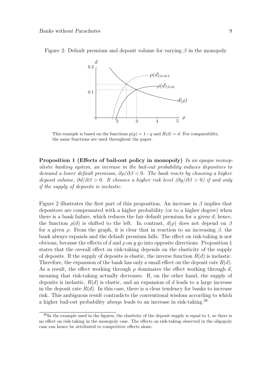

Figure 2: Default premium and deposit volume for varying  $\beta$  in the monopoly

This example is based on the functions  $p(y)=1-y$  and  $R(d) = d$ . For comparability, the same functions are used throughout the paper.

**Proposition 1 (Effects of bail-out policy in monopoly)** In an opaque monopolistic banking system, an increase in the bail-out probability induces depositors to demand a lower default premium,  $\partial \rho / \partial \beta < 0$ . The bank reacts by choosing a higher deposit volume,  $\partial d/\partial \beta > 0$ . It chooses a higher risk level  $(\partial y/\partial \beta > 0)$  if and only if the supply of deposits is inelastic.

Figure 2 illustrates the first part of this proposition. An increase in  $\beta$  implies that depositors are compensated with a higher probability (or to a higher degree) when there is a bank failure, which reduces the fair default premium for a given  $d$ ; hence, the function  $\rho(d)$  is shifted to the left. In contrast,  $d(\rho)$  does not depend on  $\beta$ for a given  $\rho$ . From the graph, it is clear that in reaction to an increasing  $\beta$ , the bank always expands and the default premium falls. The effect on risk-taking is not obvious, because the effects of d and  $\rho$  on y go into opposite directions. Proposition 1 states that the overall effect on risk-taking depends on the elasticity of the supply of deposits. If the supply of deposits is elastic, the inverse function  $R(d)$  is inelastic. Therefore, the expansion of the bank has only a small effect on the deposit rate  $R(d)$ . As a result, the effect working through  $\rho$  dominates the effect working through d, meaning that risk-taking actually decreases. If, on the other hand, the supply of deposits is inelastic,  $R(d)$  is elastic, and an expansion of d leads to a large increase in the deposit rate  $R(d)$ . In this case, there is a clear tendency for banks to increase risk. This ambiguous result contradicts the conventional wisdom according to which a higher bail-out probability *always* leads to an increase in risk-taking.<sup>28</sup>

 $^{28}$ In the example used in the figures, the elasticity of the deposit supply is equal to 1, so there is no effect on risk-taking in the monopoly case. The effects on risk-taking observed in the oligopoly case can hence be attributed to competitive effects alone.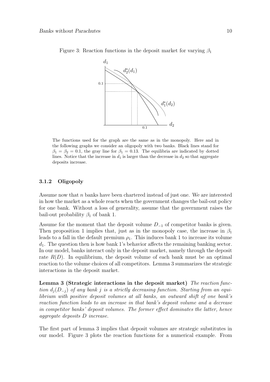

Figure 3: Reaction functions in the deposit market for varying  $\beta_1$ 

The functions used for the graph are the same as in the monopoly. Here and in the following graphs we consider an oligopoly with two banks. Black lines stand for  $\beta_1 = \beta_2 = 0.1$ , the gray line for  $\beta_1 = 0.13$ . The equilibria are indicated by dotted lines. Notice that the increase in  $d_1$  is larger than the decrease in  $d_2$  so that aggregate deposits increase.

#### **3.1.2 Oligopoly**

Assume now that n banks have been chartered instead of just one. We are interested in how the market as a whole reacts when the government changes the bail-out policy for one bank. Without a loss of generality, assume that the government raises the bail-out probability  $\beta_1$  of bank 1.

Assume for the moment that the deposit volume  $D_{-1}$  of competitor banks is given. Then proposition 1 implies that, just as in the monopoly case, the increase in  $\beta_1$ leads to a fall in the default premium  $\rho_1$ . This induces bank 1 to increase its volume  $d_1$ . The question then is how bank 1's behavior affects the remaining banking sector. In our model, banks interact only in the deposit market, namely through the deposit rate  $R(D)$ . In equilibrium, the deposit volume of each bank must be an optimal reaction to the volume choices of all competitors. Lemma 3 summarizes the strategic interactions in the deposit market.

**Lemma 3 (Strategic interactions in the deposit market)** The reaction function  $d_i(D_{-i})$  of any bank j is a strictly decreasing function. Starting from an equilibrium with positive deposit volumes at all banks, an outward shift of one bank's reaction function leads to an increase in that bank's deposit volume and a decrease in competitor banks' deposit volumes. The former effect dominates the latter, hence aggregate deposits D increase.

The first part of lemma 3 implies that deposit volumes are strategic substitutes in our model. Figure 3 plots the reaction functions for a numerical example. From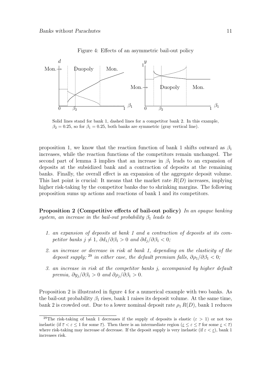

Figure 4: Effects of an asymmetric bail-out policy

Solid lines stand for bank 1, dashed lines for a competitor bank 2. In this example,  $\beta_2 = 0.25$ , so for  $\beta_1 = 0.25$ , both banks are symmetric (gray vertical line).

proposition 1, we know that the reaction function of bank 1 shifts outward as  $\beta_1$ increases, while the reaction functions of the competitors remain unchanged. The second part of lemma 3 implies that an increase in  $\beta_1$  leads to an expansion of deposits at the subsidized bank and a contraction of deposits at the remaining banks. Finally, the overall effect is an expansion of the aggregate deposit volume. This last point is crucial: It means that the market rate  $R(D)$  increases, implying higher risk-taking by the competitor banks due to shrinking margins. The following proposition sums up actions and reactions of bank 1 and its competitors.

**Proposition 2 (Competitive effects of bail-out policy)** In an opaque banking system, an increase in the bail-out probability  $\beta_1$  leads to

- 1. an expansion of deposits at bank 1 and a contraction of deposits at its competitor banks  $j \neq 1$ ,  $\partial d_1/\partial \beta_1 > 0$  and  $\partial d_j/\partial \beta_1 < 0$ ;
- 2. an increase or decrease in risk at bank 1, depending on the elasticity of the deposit supply; <sup>29</sup> in either case, the default premium falls,  $\partial \rho_1/\partial \beta_1 < 0$ ;
- 3. an increase in risk at the competitor banks j, accompanied by higher default premia,  $\partial y_i/\partial \beta_1 > 0$  and  $\partial \rho_i/\partial \beta_1 > 0$ .

Proposition 2 is illustrated in figure 4 for a numerical example with two banks. As the bail-out probability  $\beta_1$  rises, bank 1 raises its deposit volume. At the same time, bank 2 is crowded out. Due to a lower nominal deposit rate  $\rho_1 R(D)$ , bank 1 reduces

<sup>&</sup>lt;sup>29</sup>The risk-taking of bank 1 decreases if the supply of deposits is elastic ( $\varepsilon > 1$ ) or not too inelastic (if  $\overline{\varepsilon} < \varepsilon \leq 1$  for some  $\overline{\varepsilon}$ ). Then there is an intermediate region ( $\underline{\varepsilon} \leq \varepsilon \leq \overline{\varepsilon}$  for some  $\underline{\varepsilon} < \overline{\varepsilon}$ ) where risk-taking may increase of decrease. If the deposit supply is very inelastic (if  $\varepsilon < \varepsilon$ ), bank 1 increases risk.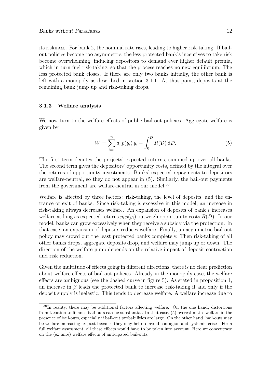its riskiness. For bank 2, the nominal rate rises, leading to higher risk-taking. If bailout policies become too asymmetric, the less protected bank's incentives to take risk become overwhelming, inducing depositors to demand ever higher default premia, which in turn fuel risk-taking, so that the process reaches no new equilibrium. The less protected bank closes. If there are only two banks initially, the other bank is left with a monopoly as described in section 3.1.1. At that point, deposits at the remaining bank jump up and risk-taking drops.

#### **3.1.3 Welfare analysis**

We now turn to the welfare effects of public bail-out policies. Aggregate welfare is given by

$$
W = \sum_{i=1}^{n} d_i p(y_i) y_i - \int_0^D R(\mathcal{D}) d\mathcal{D}.
$$
 (5)

The first term denotes the projects' expected returns, summed up over all banks. The second term gives the depositors' opportunity costs, defined by the integral over the returns of opportunity investments. Banks' expected repayments to depositors are welfare-neutral, so they do not appear in (5). Similarly, the bail-out payments from the government are welfare-neutral in our model.<sup>30</sup>

Welfare is affected by three factors: risk-taking, the level of deposits, and the entrance or exit of banks. Since risk-taking is excessive in this model, an increase in risk-taking always decreases welfare. An expansion of deposits of bank i increases welfare as long as expected returns  $y_i p(y_i)$  outweigh opportunity costs  $R(D)$ . In our model, banks can grow excessively when they receive a subsidy via the protection. In that case, an expansion of deposits reduces welfare. Finally, an asymmetric bail-out policy may crowd out the least protected banks completely. Then risk-taking of all other banks drops, aggregate deposits drop, and welfare may jump up or down. The direction of the welfare jump depends on the relative impact of deposit contraction and risk reduction.

Given the multitude of effects going in different directions, there is no clear prediction about welfare effects of bail-out policies. Already in the monopoly case, the welfare effects are ambiguous (see the dashed curve in figure 5). As stated in proposition 1, an increase in  $\beta$  leads the protected bank to increase risk-taking if and only if the deposit supply is inelastic. This tends to decrease welfare. A welfare increase due to

<sup>&</sup>lt;sup>30</sup>In reality, there may be additional factors affecting welfare. On the one hand, distortions from taxation to finance bail-outs can be substantial. In that case, (5) overestimates welfare in the presence of bail-outs, especially if bail-out probabilities are large. On the other hand, bail-outs may be welfare-increasing ex post because they may help to avoid contagion and systemic crises. For a full welfare assessment, all these effects would have to be taken into account. Here we concentrate on the (ex ante) welfare effects of anticipated bail-outs.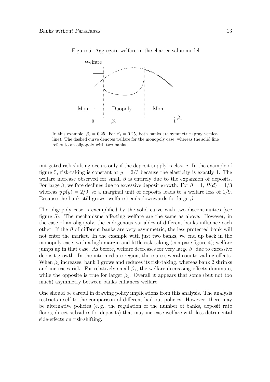

Figure 5: Aggregate welfare in the charter value model

In this example,  $\beta_2 = 0.25$ . For  $\beta_1 = 0.25$ , both banks are symmetric (gray vertical line). The dashed curve denotes welfare for the monopoly case, whereas the solid line refers to an oligopoly with two banks.

mitigated risk-shifting occurs only if the deposit supply is elastic. In the example of figure 5, risk-taking is constant at  $y = 2/3$  because the elasticity is exactly 1. The welfare increase observed for small  $\beta$  is entirely due to the expansion of deposits. For large β, welfare declines due to excessive deposit growth: For  $\beta = 1$ ,  $R(d) = 1/3$ whereas  $y p(y)=2/9$ , so a marginal unit of deposits leads to a welfare loss of 1/9. Because the bank still grows, welfare bends downwards for large  $\beta$ .

The oligopoly case is exemplified by the solid curve with two discontinuities (see figure 5). The mechanisms affecting welfare are the same as above. However, in the case of an oligopoly, the endogenous variables of different banks influence each other. If the  $\beta$  of different banks are very asymmetric, the less protected bank will not enter the market. In the example with just two banks, we end up back in the monopoly case, with a high margin and little risk-taking (compare figure 4); welfare jumps up in that case. As before, welfare decreases for very large  $\beta_1$  due to excessive deposit growth. In the intermediate region, there are several countervailing effects. When  $\beta_1$  increases, bank 1 grows and reduces its risk-taking, whereas bank 2 shrinks and increases risk. For relatively small  $\beta_1$ , the welfare-decreasing effects dominate, while the opposite is true for larger  $\beta_1$ . Overall it appears that some (but not too much) asymmetry between banks enhances welfare.

One should be careful in drawing policy implications from this analysis. The analysis restricts itself to the comparison of different bail-out policies. However, there may be alternative policies (e. g., the regulation of the number of banks, deposit rate floors, direct subsidies for deposits) that may increase welfare with less detrimental side-effects on risk-shifting.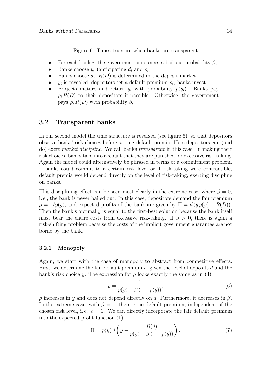Figure 6: Time structure when banks are transparent

- For each bank i, the government announces a bail-out probability  $\beta_i$
- Banks choose  $y_i$  (anticipating  $d_i$  and  $\rho_i$ )
- Banks choose  $d_i$ ,  $R(D)$  is determined in the deposit market
- $y_i$  is revealed, depositors set a default premium  $\rho_i$ , banks invest
- Projects mature and return  $y_i$  with probability  $p(y_i)$ . Banks pay  $\rho_i R(D)$  to their depositors if possible. Otherwise, the government pays  $\rho_i R(D)$  with probability  $\beta_i$

### **3.2 Transparent banks**

In our second model the time structure is reversed (see figure 6), so that depositors observe banks' risk choices before setting default premia. Here depositors can (and do) exert market discipline. We call banks transparent in this case. In making their risk choices, banks take into account that they are punished for excessive risk-taking. Again the model could alternatively be phrased in terms of a commitment problem. If banks could commit to a certain risk level or if risk-taking were contractible, default premia would depend directly on the level of risk-taking, exerting discipline on banks.

This disciplining effect can be seen most clearly in the extreme case, where  $\beta = 0$ , i. e., the bank is never bailed out. In this case, depositors demand the fair premium  $\rho = 1/p(y)$ , and expected profits of the bank are given by  $\Pi = d(y p(y) - R(D))$ . Then the bank's optimal  $y$  is equal to the first-best solution because the bank itself must bear the entire costs from excessive risk-taking. If  $\beta > 0$ , there is again a risk-shifting problem because the costs of the implicit government guarantee are not borne by the bank.

#### **3.2.1 Monopoly**

Again, we start with the case of monopoly to abstract from competitive effects. First, we determine the fair default premium  $\rho$ , given the level of deposits d and the bank's risk choice y. The expression for  $\rho$  looks exactly the same as in (4),

$$
\rho = \frac{1}{p(y) + \beta (1 - p(y))}.
$$
\n(6)

ρ increases in y and does not depend directly on d. Furthermore, it decreases in β. In the extreme case, with  $\beta = 1$ , there is no default premium, independent of the chosen risk level, i.e.  $\rho = 1$ . We can directly incorporate the fair default premium into the expected profit function (1),

$$
\Pi = p(y) d\left(y - \frac{R(d)}{p(y) + \beta(1 - p(y))}\right).
$$
\n(7)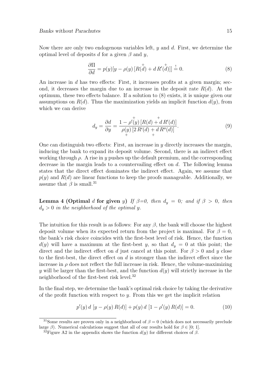Now there are only two endogenous variables left,  $y$  and  $d$ . First, we determine the optimal level of deposits d for a given  $\beta$  and y,

$$
\frac{\partial \Pi}{\partial d} = p(y)[y - \rho(y) [R(\stackrel{+}{d}) + d R'(\stackrel{+}{d})]] \stackrel{!}{=} 0.
$$
\n(8)

An increase in  $d$  has two effects: First, it increases profits at a given margin; second, it decreases the margin due to an increase in the deposit rate  $R(d)$ . At the optimum, these two effects balance. If a solution to (8) exists, it is unique given our assumptions on  $R(d)$ . Thus the maximization yields an implicit function  $d(y)$ , from which we can derive

$$
d_y = \frac{\partial d}{\partial y} = \frac{1 - \rho'(y) [R(d) + d R'(d)]}{\rho(y) [2 R'(d) + d R''(d)]}.
$$
\n(9)

One can distinguish two effects: First, an increase in  $\gamma$  directly increases the margin, inducing the bank to expand its deposit volume. Second, there is an indirect effect working through  $\rho$ . A rise in y pushes up the default premium, and the corresponding decrease in the margin leads to a countervailing effect on d. The following lemma states that the direct effect dominates the indirect effect. Again, we assume that  $p(y)$  and  $R(d)$  are linear functions to keep the proofs manageable. Additionally, we assume that  $\beta$  is small.<sup>31</sup>

**Lemma 4 (Optimal** d for given y) If  $\beta = 0$ , then  $d_y = 0$ ; and if  $\beta > 0$ , then  $d_y > 0$  in the neighborhood of the optimal y.

The intuition for this result is as follows: For any  $\beta$ , the bank will choose the highest deposit volume when its expected return from the project is maximal. For  $\beta = 0$ , the bank's risk choice coincides with the first-best level of risk. Hence, the function  $d(y)$  will have a maximum at the first-best y, so that  $d_y = 0$  at this point; the direct and the indirect effect on d just cancel at this point. For  $\beta > 0$  and y close to the first-best, the direct effect on  $d$  is stronger than the indirect effect since the increase in  $\rho$  does not reflect the full increase in risk. Hence, the volume-maximizing y will be larger than the first-best, and the function  $d(y)$  will strictly increase in the neighborhood of the first-best risk level.<sup>32</sup>

In the final step, we determine the bank's optimal risk choice by taking the derivative of the profit function with respect to  $y$ . From this we get the implicit relation

$$
p'(y) d [y - \rho(y) R(d)] + p(y) d [1 - \rho'(y) R(d)] = 0.
$$
 (10)

<sup>&</sup>lt;sup>31</sup>Some results are proven only in a neighborhood of  $\beta = 0$  (which does not necessarily preclude large  $\beta$ ). Numerical calculations suggest that all of our results hold for  $\beta \in [0, 1]$ .

<sup>&</sup>lt;sup>32</sup>Figure A2 in the appendix shows the function  $d(y)$  for different choices of  $\beta$ .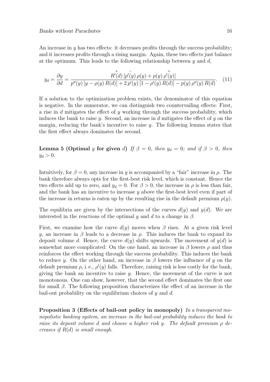An increase in  $\gamma$  has two effects: it decreases profits through the success probability; and it increases profits through a rising margin. Again, these two effects just balance at the optimum. This leads to the following relationship between  $y$  and  $d$ ,

$$
y_d = \frac{\partial y}{\partial d} = \frac{R'(d) \left[ p'(y) \rho(y) + p(y) \rho'(y) \right]}{p''(y) \left[ y - \rho(y) R(d) \right] + 2 \, p'(y) \left[ 1 - \rho'(y) R(d) \right] - p(y) \, \rho''(y) R(d)}.\tag{11}
$$

If a solution to the optimization problem exists, the denominator of this equation is negative. In the numerator, we can distinguish two countervailing effects: First, a rise in d mitigates the effect of y working through the success probability, which induces the bank to raise  $\gamma$ . Second, an increase in d mitigates the effect of  $\gamma$  on the margin, reducing the bank's incentive to raise  $y$ . The following lemma states that the first effect always dominates the second.

**Lemma 5 (Optimal** y for given d) If  $\beta = 0$ , then  $y_d = 0$ ; and if  $\beta > 0$ , then  $y_d > 0$ .

Intuitively, for  $\beta = 0$ , any increase in y is accompanied by a "fair" increase in  $\rho$ . The bank therefore always opts for the first-best risk level, which is constant. Hence the two effects add up to zero, and  $y_d = 0$ . For  $\beta > 0$ , the increase in  $\rho$  is less than fair, and the bank has an incentive to increase  $\gamma$  above the first-best level even if part of the increase in returns is eaten up by the resulting rise in the default premium  $\rho(y)$ .

The equilibria are given by the intersections of the curves  $d(y)$  and  $y(d)$ . We are interested in the reactions of the optimal y and d to a change in  $\beta$ .

First, we examine how the curve  $d(y)$  moves when  $\beta$  rises. At a given risk level y, an increase in  $\beta$  leads to a decrease in  $\rho$ . This induces the bank to expand its deposit volume d. Hence, the curve  $d(y)$  shifts upwards. The movement of  $y(d)$  is somewhat more complicated: On the one hand, an increase in  $\beta$  lowers  $\rho$  and thus reinforces the effect working through the success probability. This induces the bank to reduce y. On the other hand, an increase in  $\beta$  lowers the influence of y on the default premium  $\rho$ , i. e.,  $\rho'(y)$  falls. Therefore, raising risk is less costly for the bank, giving the bank an incentive to raise  $y$ . Hence, the movement of the curve is not monotonous. One can show, however, that the second effect dominates the first one for small  $\beta$ . The following proposition characterizes the effect of an increase in the bail-out probability on the equilibrium choices of  $y$  and  $d$ .

**Proposition 3 (Effects of bail-out policy in monopoly)** In a transparent monopolistic banking system, an increase in the bail-out probability induces the bank to raise its deposit volume d and choose a higher risk y. The default premium  $\rho$  decreases if  $R(d)$  is small enough.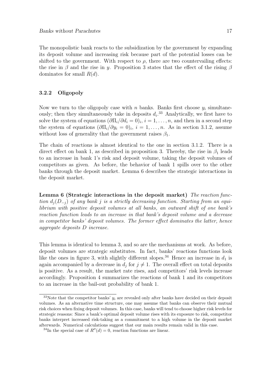The monopolistic bank reacts to the subsidization by the government by expanding its deposit volume and increasing risk because part of the potential losses can be shifted to the government. With respect to  $\rho$ , there are two countervailing effects: the rise in β and the rise in y. Proposition 3 states that the effect of the rising  $\beta$ dominates for small  $R(d)$ .

#### **3.2.2 Oligopoly**

Now we turn to the oligopoly case with n banks. Banks first choose  $y_i$  simultaneously; then they simultaneously take in deposits  $d_i$ .<sup>33</sup> Analytically, we first have to solve the system of equations  $(\partial \Pi_i/\partial d_i = 0)_i$ ,  $i = 1, \ldots, n$ , and then in a second step the system of equations  $(\partial \Pi_i/\partial y_i = 0)_i$ ,  $i = 1, \ldots, n$ . As in section 3.1.2, assume without loss of generality that the government raises  $\beta_1$ .

The chain of reactions is almost identical to the one in section 3.1.2. There is a direct effect on bank 1, as described in proposition 3. Thereby, the rise in  $\beta_1$  leads to an increase in bank 1's risk and deposit volume, taking the deposit volumes of competitors as given. As before, the behavior of bank 1 spills over to the other banks through the deposit market. Lemma 6 describes the strategic interactions in the deposit market.

**Lemma 6 (Strategic interactions in the deposit market)** The reaction function  $d_i(D_{-i})$  of any bank j is a strictly decreasing function. Starting from an equilibrium with positive deposit volumes at all banks, an outward shift of one bank's reaction function leads to an increase in that bank's deposit volume and a decrease in competitor banks' deposit volumes. The former effect dominates the latter, hence aggregate deposits D increase.

This lemma is identical to lemma 3, and so are the mechanisms at work. As before, deposit volumes are strategic substitutes. In fact, banks' reactions functions look like the ones in figure 3, with slightly different slopes.<sup>34</sup> Hence an increase in  $d_1$  is again accompanied by a decrease in  $d_i$  for  $j \neq 1$ . The overall effect on total deposits is positive. As a result, the market rate rises, and competitors' risk levels increase accordingly. Proposition 4 summarizes the reactions of bank 1 and its competitors to an increase in the bail-out probability of bank 1.

 $33$ Note that the competitor banks'  $y_i$  are revealed only after banks have decided on their deposit volumes. As an alternative time structure, one may assume that banks can observe their mutual risk choices when fixing deposit volumes. In this case, banks will tend to choose higher risk levels for strategic reasons: Since a bank's optimal deposit volume rises with its exposure to risk, competitor banks interpret increased risk-taking as a commitment to a high volume in the deposit market afterwards. Numerical calculations suggest that our main results remain valid in this case.

<sup>&</sup>lt;sup>34</sup>In the special case of  $R''(d) = 0$ , reaction functions are linear.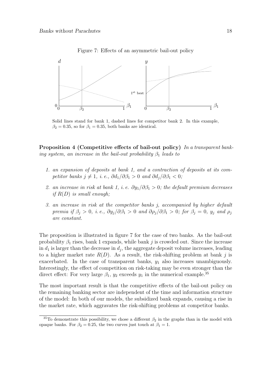

Figure 7: Effects of an asymmetric bail-out policy

Solid lines stand for bank 1, dashed lines for competitor bank 2. In this example,  $\beta_2 = 0.35$ , so for  $\beta_1 = 0.35$ , both banks are identical.

**Proposition 4 (Competitive effects of bail-out policy)** In a transparent banking system, an increase in the bail-out probability  $\beta_1$  leads to

- 1. an expansion of deposits at bank 1, and a contraction of deposits at its competitor banks  $j \neq 1$ , i. e.,  $\partial d_1/\partial \beta_1 > 0$  and  $\partial d_j/\partial \beta_1 < 0$ ;
- 2. an increase in risk at bank 1, i. e.  $\partial y_1/\partial \beta_1 > 0$ ; the default premium decreases if  $R(D)$  is small enough;
- 3. an increase in risk at the competitor banks j, accompanied by higher default premia if  $\beta_j > 0$ , i.e.,  $\partial y_j/\partial \beta_1 > 0$  and  $\partial \rho_j/\partial \beta_1 > 0$ ; for  $\beta_j = 0$ ,  $y_j$  and  $\rho_j$ are constant.

The proposition is illustrated in figure 7 for the case of two banks. As the bail-out probability  $\beta_1$  rises, bank 1 expands, while bank j is crowded out. Since the increase in  $d_1$  is larger than the decrease in  $d_i$ , the aggregate deposit volume increases, leading to a higher market rate  $R(D)$ . As a result, the risk-shifting problem at bank j is exacerbated. In the case of transparent banks,  $y_1$  also increases unambiguously. Interestingly, the effect of competition on risk-taking may be even stronger than the direct effect: For very large  $\beta_1$ ,  $y_2$  exceeds  $y_1$  in the numerical example.<sup>35</sup>

The most important result is that the competitive effects of the bail-out policy on the remaining banking sector are independent of the time and information structure of the model: In both of our models, the subsidized bank expands, causing a rise in the market rate, which aggravates the risk-shifting problems at competitor banks.

<sup>&</sup>lt;sup>35</sup>To demonstrate this possibility, we chose a different  $\beta_2$  in the graphs than in the model with opaque banks. For  $\beta_2 = 0.25$ , the two curves just touch at  $\beta_1 = 1$ .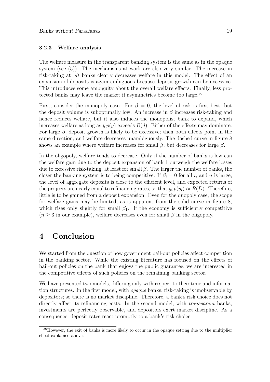#### **3.2.3 Welfare analysis**

The welfare measure in the transparent banking system is the same as in the opaque system (see (5)). The mechanisms at work are also very similar. The increase in risk-taking at all banks clearly decreases welfare in this model. The effect of an expansion of deposits is again ambiguous because deposit growth can be excessive. This introduces some ambiguity about the overall welfare effects. Finally, less protected banks may leave the market if asymmetries become too large.<sup>36</sup>

First, consider the monopoly case. For  $\beta = 0$ , the level of risk is first best, but the deposit volume is suboptimally low. An increase in  $\beta$  increases risk-taking and hence reduces welfare, but it also induces the monopolist bank to expand, which increases welfare as long as  $y p(y)$  exceeds  $R(d)$ . Either of the effects may dominate. For large  $\beta$ , deposit growth is likely to be excessive; then both effects point in the same direction, and welfare decreases unambiguously. The dashed curve in figure 8 shows an example where welfare increases for small  $\beta$ , but decreases for large  $\beta$ .

In the oligopoly, welfare tends to decrease. Only if the number of banks is low can the welfare gain due to the deposit expansion of bank 1 outweigh the welfare losses due to excessive risk-taking, at least for small  $\beta$ . The larger the number of banks, the closer the banking system is to being competitive. If  $\beta_i = 0$  for all i, and n is large, the level of aggregate deposits is close to the efficient level, and expected returns of the projects are nearly equal to refinancing rates, so that  $y_i p(y_i) \approx R(D)$ . Therefore, little is to be gained from a deposit expansion. Even for the duopoly case, the scope for welfare gains may be limited, as is apparent from the solid curve in figure 8, which rises only slightly for small  $\beta_1$ . If the economy is sufficiently competitive  $(n \geq 3$  in our example), welfare decreases even for small  $\beta$  in the oligopoly.

### **4 Conclusion**

We started from the question of how government bail-out policies affect competition in the banking sector. While the existing literature has focused on the effects of bail-out policies on the bank that enjoys the public guarantee, we are interested in the competitive effects of such policies on the remaining banking sector.

We have presented two models, differing only with respect to their time and information structures. In the first model, with opaque banks, risk-taking is unobservable by depositors; so there is no market discipline. Therefore, a bank's risk choice does not directly affect its refinancing costs. In the second model, with *transparent* banks, investments are perfectly observable, and depositors exert market discipline. As a consequence, deposit rates react promptly to a bank's risk choice.

<sup>&</sup>lt;sup>36</sup>However, the exit of banks is more likely to occur in the opaque setting due to the multiplier effect explained above.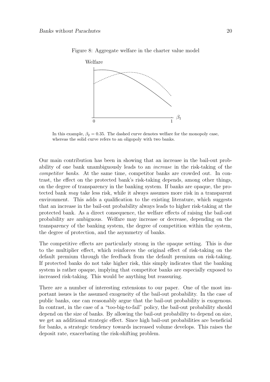

Figure 8: Aggregate welfare in the charter value model

In this example,  $\beta_2 = 0.35$ . The dashed curve denotes welfare for the monopoly case, whereas the solid curve refers to an oligopoly with two banks.

Our main contribution has been in showing that an increase in the bail-out probability of one bank unambiguously leads to an increase in the risk-taking of the competitor banks. At the same time, competitor banks are crowded out. In contrast, the effect on the protected bank's risk-taking depends, among other things, on the degree of transparency in the banking system. If banks are opaque, the protected bank may take less risk, while it always assumes more risk in a transparent environment. This adds a qualification to the existing literature, which suggests that an increase in the bail-out probability always leads to higher risk-taking at the protected bank. As a direct consequence, the welfare effects of raising the bail-out probability are ambiguous. Welfare may increase or decrease, depending on the transparency of the banking system, the degree of competition within the system, the degree of protection, and the asymmetry of banks.

The competitive effects are particularly strong in the opaque setting. This is due to the multiplier effect, which reinforces the original effect of risk-taking on the default premium through the feedback from the default premium on risk-taking. If protected banks do not take higher risk, this simply indicates that the banking system is rather opaque, implying that competitor banks are especially exposed to increased risk-taking. This would be anything but reassuring.

There are a number of interesting extensions to our paper. One of the most important issues is the assumed exogeneity of the bail-out probability. In the case of public banks, one can reasonably argue that the bail-out probability is exogenous. In contrast, in the case of a "too-big-to-fail" policy, the bail-out probability should depend on the size of banks. By allowing the bail-out probability to depend on size, we get an additional strategic effect. Since high bail-out probabilities are beneficial for banks, a strategic tendency towards increased volume develops. This raises the deposit rate, exacerbating the risk-shifting problem.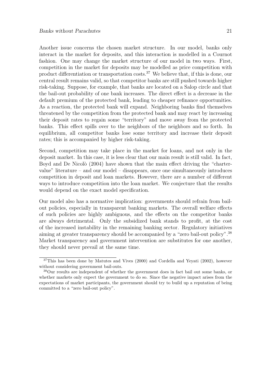Another issue concerns the chosen market structure. In our model, banks only interact in the market for deposits, and this interaction is modelled in a Cournot fashion. One may change the market structure of our model in two ways. First, competition in the market for deposits may be modelled as price competition with product differentiation or transportation costs.<sup>37</sup> We believe that, if this is done, our central result remains valid, so that competitor banks are still pushed towards higher risk-taking. Suppose, for example, that banks are located on a Salop circle and that the bail-out probability of one bank increases. The direct effect is a decrease in the default premium of the protected bank, leading to cheaper refinance opportunities. As a reaction, the protected bank will expand. Neighboring banks find themselves threatened by the competition from the protected bank and may react by increasing their deposit rates to regain some "territory" and move away from the protected banks. This effect spills over to the neighbors of the neighbors and so forth. In equilibrium, all competitor banks lose some territory and increase their deposit rates; this is accompanied by higher risk-taking.

Second, competition may take place in the market for loans, and not only in the deposit market. In this case, it is less clear that our main result is still valid. In fact, Boyd and De Nicolò (2004) have shown that the main effect driving the "chartervalue" literature – and our model – disappears, once one simultaneously introduces competition in deposit and loan markets. However, there are a number of different ways to introduce competition into the loan market. We conjecture that the results would depend on the exact model specification.

Our model also has a normative implication: governments should refrain from bailout policies, especially in transparent banking markets. The overall welfare effects of such policies are highly ambiguous, and the effects on the competitor banks are always detrimental. Only the subsidized bank stands to profit, at the cost of the increased instability in the remaining banking sector. Regulatory initiatives aiming at greater transparency should be accompanied by a "zero bail-out policy".<sup>38</sup> Market transparency and government intervention are substitutes for one another, they should never prevail at the same time.

<sup>&</sup>lt;sup>37</sup>This has been done by Matutes and Vives (2000) and Cordella and Yeyati (2002), however without considering government bail-outs.

<sup>38</sup>Our results are independent of whether the government does in fact bail out some banks, or whether markets only expect the government to do so. Since the negative impact arises from the expectations of market participants, the government should try to build up a reputation of being committed to a "zero bail-out policy".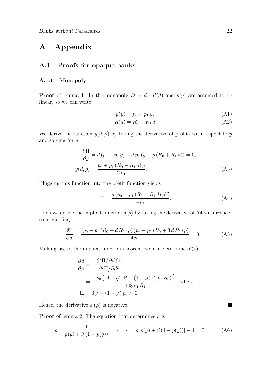# **A Appendix**

### **A.1 Proofs for opaque banks**

#### **A.1.1 Monopoly**

**Proof** of lemma 1: In the monopoly  $D = d$ .  $R(d)$  and  $p(y)$  are assumed to be linear, so we can write

$$
p(y) = p_0 - p_1 y,\t(A1)
$$

$$
R(d) = R_0 + R_1 d.
$$
 (A2)

We derive the function  $y(d, \rho)$  by taking the derivative of profits with respect to y and solving for y:

$$
\frac{\partial \Pi}{\partial y} = d (p_0 - p_1 y) + dp_1 (y - \rho (R_0 + R_1 d)) \stackrel{!}{=} 0,
$$
  

$$
y(d, \rho) = \frac{p_0 + p_1 (R_0 + R_1 d) \rho}{2 p_1}.
$$
 (A3)

Plugging this function into the profit function yields

$$
\Pi = \frac{d\left(p_0 - p_1\left(R_0 + R_1 d\right)\rho\right)^2}{4\,p_1}.\tag{A4}
$$

Then we derive the implicit function  $d(\rho)$  by taking the derivative of A4 with respect to d, yielding

$$
\frac{\partial \Pi}{\partial d} = \frac{(p_0 - p_1 (R_0 + d R_1) \rho) (p_0 - p_1 (R_0 + 3 d R_1) \rho)}{4 p_1} = 0.
$$
 (A5)

Making use of the implicit function theorem, we can determine  $d'(\rho)$ ,

$$
\frac{\partial d}{\partial \rho} = -\frac{\partial^2 \Pi / \partial d \partial \rho}{\partial^2 \Pi / \partial d^2}
$$
  
= 
$$
-\frac{p_0 \left( \Box + \sqrt{\Box^2 - (1 - \beta) \Box p_1 R_0} \right)^2}{\Box \Theta} \text{ where}
$$
  

$$
\Box = 3 \beta + (1 - \beta) p_0 > 0.
$$

Hence, the derivative  $d'(\rho)$  is negative.

**Proof** of lemma 2: The equation that determines  $\rho$  is

$$
\rho = \frac{1}{p(y) + \beta (1 - p(y))} \quad \iff \quad \rho [p(y) + \beta (1 - p(y))] - 1 = 0. \tag{A6}
$$

 $\blacksquare$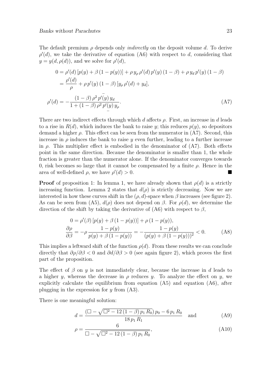The default premium  $\rho$  depends only *indirectly* on the deposit volume d. To derive  $\rho'(d)$ , we take the derivative of equation (A6) with respect to d, considering that  $y = y(d, \rho(d))$ , and we solve for  $\rho'(d)$ ,

$$
0 = \rho'(d) [p(y) + \beta (1 - p(y))] + \rho y_{\rho} \rho'(d) p'(y) (1 - \beta) + \rho y_{d} p'(y) (1 - \beta)
$$
  
= 
$$
\frac{\rho'(d)}{\rho} + \rho p'(y) (1 - \beta) [y_{\rho} \rho'(d) + y_{d}],
$$
  

$$
\rho'(d) = -\frac{(1 - \beta) \rho^{2} p'(y) y_{d}}{1 + (1 - \beta) \rho^{2} p'(y) y_{\rho}}.
$$
 (A7)

There are two indirect effects through which d affects  $\rho$ . First, an increase in d leads to a rise in  $R(d)$ , which induces the bank to raise y; this reduces  $p(y)$ , so depositors demand a higher  $\rho$ . This effect can be seen from the numerator in  $(A7)$ . Second, this increase in  $\rho$  induces the bank to raise y even further, leading to a further increase in  $\rho$ . This multiplier effect is embodied in the denominator of  $(A7)$ . Both effects point in the same direction. Because the denominator is smaller than 1, the whole fraction is greater than the numerator alone. If the denominator converges towards 0, risk becomes so large that it cannot be compensated by a finite  $\rho$ . Hence in the area of well-defined  $\rho$ , we have  $\rho'(d) > 0$ .

−

**Proof** of proposition 1: In lemma 1, we have already shown that  $\rho(d)$  is a strictly increasing function. Lemma 2 states that  $d(\rho)$  is strictly decreasing. Now we are interested in how these curves shift in the  $(\rho, d)$ -space when  $\beta$  increases (see figure 2). As can be seen from (A5),  $d(\rho)$  does not depend on  $\beta$ . For  $\rho(d)$ , we determine the direction of the shift by taking the derivative of (A6) with respect to  $\beta$ ,

$$
0 = \rho'(\beta) [p(y) + \beta (1 - p(y))] + \rho (1 - p(y)),
$$
  
\n
$$
\frac{\partial \rho}{\partial \beta} = -\rho \frac{1 - p(y)}{p(y) + \beta (1 - p(y))} = -\frac{1 - p(y)}{(p(y) + \beta (1 - p(y)))^2} < 0.
$$
 (A8)

This implies a leftward shift of the function  $\rho(d)$ . From these results we can conclude directly that  $\partial \rho / \partial \beta < 0$  and  $\partial d / \partial \beta > 0$  (see again figure 2), which proves the first part of the proposition.

The effect of  $\beta$  on y is not immediately clear, because the increase in d leads to a higher y, whereas the decrease in  $\rho$  reduces y. To analyze the effect on y, we explicitly calculate the equilibrium from equation (A5) and equation (A6), after plugging in the expression for  $y$  from  $(A3)$ .

There is one meaningful solution:

$$
d = \frac{\left(\Box - \sqrt{\Box^2 - 12\left(1 - \beta\right)p_1 R_0}\right)p_0 - 6\,p_1 R_0}{18\,p_1 R_1} \quad \text{and} \tag{A9}
$$

$$
\rho = \frac{6}{\Box - \sqrt{\Box^2 - 12(1 - \beta)p_1R_0}},\tag{A10}
$$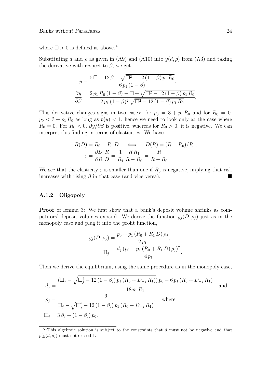where  $\Box > 0$  is defined as above.<sup>A1</sup>

Substituting d and  $\rho$  as given in (A9) and (A10) into  $y(d, \rho)$  from (A3) and taking the derivative with respect to  $\beta$ , we get

$$
y = \frac{5 \Box - 12 \beta + \sqrt{\Box^2 - 12 (1 - \beta) p_1 R_0}}{6 p_1 (1 - \beta)},
$$
  

$$
\frac{\partial y}{\partial \beta} = \frac{2 p_1 R_0 (1 - \beta) - \Box + \sqrt{\Box^2 - 12 (1 - \beta) p_1 R_0}}{2 p_1 (1 - \beta)^2 \sqrt{\Box^2 - 12 (1 - \beta) p_1 R_0}}
$$

This derivative changes signs in two cases: for  $p_0 = 3 + p_1 R_0$  and for  $R_0 = 0$ .  $p_0 < 3 + p_1 R_0$  as long as  $p(y) < 1$ , hence we need to look only at the case where  $R_0 = 0$ . For  $R_0 < 0$ ,  $\partial y / \partial \beta$  is positive, whereas for  $R_0 > 0$ , it is negative. We can interpret this finding in terms of elasticities. We have

$$
R(D) = R_0 + R_1 D \iff D(R) = (R - R_0)/R_1,
$$
  

$$
\varepsilon = \frac{\partial D}{\partial R} \frac{R}{D} = \frac{1}{R_1} \frac{R R_1}{R - R_0} = \frac{R}{R - R_0}.
$$

We see that the elasticity  $\varepsilon$  is smaller than one if  $R_0$  is negative, implying that risk increases with rising  $\beta$  in that case (and vice versa).

#### **A.1.2 Oligopoly**

**Proof** of lemma 3: We first show that a bank's deposit volume shrinks as competitors' deposit volumes expand. We derive the function  $y_j(D, \rho_j)$  just as in the monopoly case and plug it into the profit function,

$$
y_j(D, \rho_j) = \frac{p_0 + p_1 (R_0 + R_1 D) \rho_j}{2 p_1},
$$
  
\n
$$
\Pi_j = \frac{d_j (p_0 - p_1 (R_0 + R_1 D) \rho_j)^2}{4 p_1}.
$$

Then we derive the equilibrium, using the same procedure as in the monopoly case,

$$
d_{j} = \frac{\left(\Box_{j} - \sqrt{\Box_{j}^{2} - 12\left(1 - \beta_{j}\right)p_{1}\left(R_{0} + D_{-j} R_{1}\right)}\right)p_{0} - 6p_{1}\left(R_{0} + D_{-j} R_{1}\right)}{18p_{1} R_{1}}
$$
 and  
\n
$$
\rho_{j} = \frac{6}{\Box_{j} - \sqrt{\Box_{j}^{2} - 12\left(1 - \beta_{j}\right)p_{1}\left(R_{0} + D_{-j} R_{1}\right)}}, \text{ where}
$$
\n
$$
\Box_{j} = 3\beta_{j} + \left(1 - \beta_{j}\right)p_{0}.
$$

.

<sup>&</sup>lt;sup>A1</sup>This algebraic solution is subject to the constraints that  $d$  must not be negative and that  $p(y(d, \rho))$  must not exceed 1.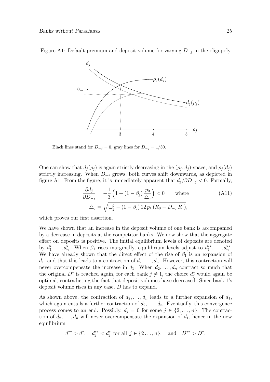

Figure A1: Default premium and deposit volume for varying  $D_{-j}$  in the oligopoly

Black lines stand for  $D_{-j} = 0$ , gray lines for  $D_{-j} = 1/30$ .

One can show that  $d_i(\rho_i)$  is again strictly decreasing in the  $(\rho_i, d_i)$ -space, and  $\rho_i(d_i)$ strictly increasing. When  $D_{-j}$  grows, both curves shift downwards, as depicted in figure A1. From the figure, it is immediately apparent that  $d_i/\partial D_{-i} < 0$ . Formally,

$$
\frac{\partial d_j}{\partial D_{-j}} = -\frac{1}{3} \left( 1 + (1 - \beta_j) \frac{p_0}{\Delta_j} \right) < 0 \quad \text{where} \quad (\text{A11})
$$
\n
$$
\Delta_j = \sqrt{\Box_j^2 - (1 - \beta_j) 12 p_1 (R_0 + D_{-j} R_1)},
$$

which proves our first assertion.

We have shown that an increase in the deposit volume of one bank is accompanied by a decrease in deposits at the competitor banks. We now show that the aggregate effect on deposits is positive. The initial equilibrium levels of deposits are denoted by  $d_1^*, \ldots, d_n^*$ . When  $\beta_1$  rises marginally, equilibrium levels adjust to  $d_1^{**}, \ldots, d_n^{**}$ . We have already shown that the direct effect of the rise of  $\beta_1$  is an expansion of  $d_1$ , and that this leads to a contraction of  $d_2, \ldots, d_n$ . However, this contraction will never overcompensate the increase in  $d_1$ : When  $d_2, \ldots, d_n$  contract so much that the original  $D^*$  is reached again, for each bank  $j \neq 1$ , the choice  $d_j^*$  would again be optimal, contradicting the fact that deposit volumes have decreased. Since bank 1's deposit volume rises in any case, D has to expand.

As shown above, the contraction of  $d_2, \ldots, d_n$  leads to a further expansion of  $d_1$ , which again entails a further contraction of  $d_2, \ldots, d_n$ . Eventually, this convergence process comes to an end. Possibly,  $d_j = 0$  for some  $j \in \{2, ..., n\}$ . The contraction of  $d_2, \ldots, d_n$  will never overcompensate the expansion of  $d_1$ , hence in the new equilibrium

$$
d_1^{**} > d_1^*, \quad d_j^{**} < d_j^*
$$
 for all  $j \in \{2 \dots, n\}$ , and  $D^{**} > D^*$ ,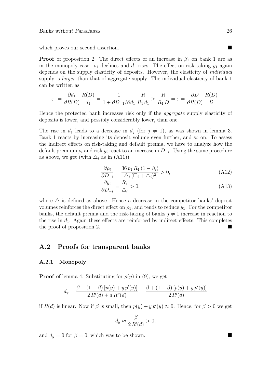which proves our second assertion.

**Proof** of proposition 2: The direct effects of an increase in  $\beta_1$  on bank 1 are as in the monopoly case:  $\rho_1$  declines and  $d_1$  rises. The effect on risk-taking  $y_1$  again depends on the supply elasticity of deposits. However, the elasticity of individual supply is *larger* than that of aggregate supply. The individual elasticity of bank 1 can be written as

$$
\varepsilon_1 = \frac{\partial d_1}{\partial R(D)} \frac{R(D)}{d_1} = \frac{1}{1 + \partial D_{-1}/\partial d_1} \frac{R}{R_1 d_1} > \frac{R}{R_1 D} = \varepsilon = \frac{\partial D}{\partial R(D)} \frac{R(D)}{D}.
$$

Hence the protected bank increases risk only if the aggregate supply elasticity of deposits is lower, and possibly considerably lower, than one.

The rise in  $d_1$  leads to a decrease in  $d_i$  (for  $j \neq 1$ ), as was shown in lemma 3. Bank 1 reacts by increasing its deposit volume even further, and so on. To assess the indirect effects on risk-taking and default premia, we have to analyze how the default premium  $\rho_i$  and risk  $y_i$  react to an increase in  $D_{-i}$ . Using the same procedure as above, we get (with  $\Delta_i$  as in (A11))

$$
\frac{\partial \rho_i}{\partial D_{-i}} = \frac{36 p_1 R_1 (1 - \beta_i)}{\Delta_i (\square_i + \triangle_i)^2} > 0,
$$
\n(A12)

$$
\frac{\partial y_i}{\partial D_{-i}} = \frac{R_1}{\Delta_i} > 0,\tag{A13}
$$

where  $\triangle$  is defined as above. Hence a decrease in the competitor banks' deposit volumes reinforces the direct effect on  $\rho_1$ , and tends to reduce  $y_1$ . For the competitor banks, the default premia and the risk-taking of banks  $j \neq 1$  increase in reaction to the rise in  $d_1$ . Again these effects are reinforced by indirect effects. This completes the proof of proposition 2.

### **A.2 Proofs for transparent banks**

#### **A.2.1 Monopoly**

**Proof** of lemma 4: Substituting for  $\rho(y)$  in (9), we get

$$
d_y = \frac{\beta + (1 - \beta) [p(y) + y p'(y)]}{2 R'(d) + d R''(d)} = \frac{\beta + (1 - \beta) [p(y) + y p'(y)]}{2 R'(d)}
$$

if  $R(d)$  is linear. Now if  $\beta$  is small, then  $p(y) + y p'(y) \approx 0$ . Hence, for  $\beta > 0$  we get

$$
d_y \approx \frac{\beta}{2 R'(d)} > 0,
$$

and  $d_y = 0$  for  $\beta = 0$ , which was to be shown.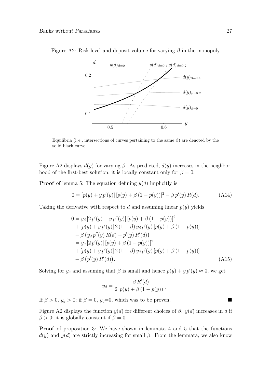

Figure A2: Risk level and deposit volume for varying  $\beta$  in the monopoly

Equilibria (i. e., intersections of curves pertaining to the same  $\beta$ ) are denoted by the solid black curve.

Figure A2 displays  $d(y)$  for varying  $\beta$ . As predicted,  $d(y)$  increases in the neighborhood of the first-best solution; it is locally constant only for  $\beta = 0$ .

**Proof** of lemma 5: The equation defining  $y(d)$  implicitly is

$$
0 = [p(y) + y p'(y)] [p(y) + \beta (1 - p(y))]^{2} - \beta p'(y) R(d).
$$
 (A14)

Taking the derivative with respect to d and assuming linear  $p(y)$  yields

$$
0 = y_d [2 p'(y) + y p''(y)] [p(y) + \beta (1 - p(y))]^2
$$
  
+ [p(y) + y p'(y)] 2 (1 - \beta) y\_d p'(y) [p(y) + \beta (1 - p(y))]  
- \beta (y\_d p''(y) R(d) + p'(y) R'(d))  
= y\_d [2 p'(y)] [p(y) + \beta (1 - p(y))]^2  
+ [p(y) + y p'(y)] 2 (1 - \beta) y\_d p'(y) [p(y) + \beta (1 - p(y))]  
- \beta (p'(y) R'(d)). \t(A15)

Solving for  $y_d$  and assuming that  $\beta$  is small and hence  $p(y) + y p'(y) \approx 0$ , we get

$$
y_d = \frac{\beta R'(d)}{2 [p(y) + \beta (1 - p(y))]^2}.
$$

If  $\beta > 0$ ,  $y_d > 0$ ; if  $\beta = 0$ ,  $y_d=0$ , which was to be proven.

Figure A2 displays the function  $y(d)$  for different choices of  $\beta$ .  $y(d)$  increases in d if  $\beta > 0$ ; it is globally constant if  $\beta = 0$ .

**Proof** of proposition 3: We have shown in lemmata 4 and 5 that the functions  $d(y)$  and  $y(d)$  are strictly increasing for small  $\beta$ . From the lemmata, we also know

 $\blacksquare$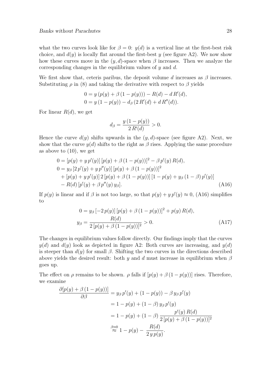what the two curves look like for  $\beta = 0$ :  $y(d)$  is a vertical line at the first-best risk choice, and  $d(y)$  is locally flat around the first-best y (see figure A2). We now show how these curves move in the  $(y, d)$ -space when  $\beta$  increases. Then we analyze the corresponding changes in the equilibrium values of  $y$  and  $d$ .

We first show that, ceteris paribus, the deposit volume d increases as  $\beta$  increases. Substituting  $\rho$  in (8) and taking the derivative with respect to  $\beta$  yields

$$
0 = y (p(y) + \beta (1 - p(y))) - R(d) - dR'(d),
$$
  
\n
$$
0 = y (1 - p(y)) - d_{\beta} (2 R'(d) + d R''(d)).
$$

For linear  $R(d)$ , we get

$$
d_{\beta} = \frac{y(1 - p(y))}{2 R'(d)} > 0.
$$

Hence the curve  $d(y)$  shifts upwards in the  $(y, d)$ -space (see figure A2). Next, we show that the curve  $y(d)$  shifts to the right as  $\beta$  rises. Applying the same procedure as above to  $(10)$ , we get

$$
0 = [p(y) + y p'(y)] [p(y) + \beta (1 - p(y))]^{2} - \beta p'(y) R(d),
$$
  
\n
$$
0 = y_{\beta} [2 p'(y) + y p''(y)] [p(y) + \beta (1 - p(y))]^{2}
$$
  
\n
$$
+ [p(y) + y p'(y)] 2 [p(y) + \beta (1 - p(y))] [1 - p(y) + y_{\beta} (1 - \beta) p'(y)]
$$
  
\n
$$
- R(d) [p'(y) + \beta p''(y) y_{\beta}].
$$
\n(A16)

If  $p(y)$  is linear and if  $\beta$  is not too large, so that  $p(y) + y p'(y) \approx 0$ , (A16) simplifies to

$$
0 = y_{\beta} [-2p(y)] [p(y) + \beta (1 - p(y))]^{2} + p(y) R(d),
$$
  
\n
$$
y_{\beta} = \frac{R(d)}{2 [p(y) + \beta (1 - p(y))]^{2}} > 0.
$$
\n(A17)

The changes in equilibrium values follow directly. Our findings imply that the curves  $y(d)$  and  $d(y)$  look as depicted in figure A2: Both curves are increasing, and  $y(d)$ is steeper than  $d(y)$  for small  $\beta$ . Shifting the two curves in the directions described above yields the desired result: both y and d must increase in equilibrium when  $\beta$ goes up.

The effect on  $\rho$  remains to be shown.  $\rho$  falls if  $[p(y) + \beta (1 - p(y))]$  rises. Therefore, we examine

$$
\frac{\partial [p(y) + \beta (1 - p(y))] }{\partial \beta} = y_{\beta} p'(y) + (1 - p(y)) - \beta y_{\beta} p'(y)
$$
  
= 1 - p(y) + (1 - \beta) y\_{\beta} p'(y)  
= 1 - p(y) + (1 - \beta) \frac{p'(y) R(d)}{2 [p(y) + \beta (1 - p(y))]^2}  

$$
\stackrel{\beta \approx 0}{\approx} 1 - p(y) - \frac{R(d)}{2 y p(y)}.
$$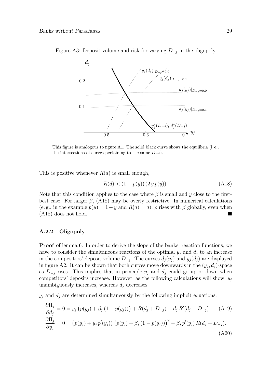

Figure A3: Deposit volume and risk for varying  $D_{-i}$  in the oligopoly

This figure is analogous to figure A1. The solid black curve shows the equilibria (i. e., the intersections of curves pertaining to the same  $D_{-j}$ .

This is positive whenever  $R(d)$  is small enough,

$$
R(d) < (1 - p(y)) \left( 2 \, y \, p(y) \right). \tag{A18}
$$

Note that this condition applies to the case where  $\beta$  is small and y close to the firstbest case. For larger  $\beta$ , (A18) may be overly restrictive. In numerical calculations (e. g., in the example  $p(y)=1-y$  and  $R(d) = d$ ),  $\rho$  rises with  $\beta$  globally, even when  $(A18)$  does not hold.  $\blacksquare$ 

#### **A.2.2 Oligopoly**

**Proof** of lemma 6: In order to derive the slope of the banks' reaction functions, we have to consider the simultaneous reactions of the optimal  $y_i$  and  $d_i$  to an increase in the competitors' deposit volume  $D_{-j}$ . The curves  $d_j(y_j)$  and  $y_j(d_j)$  are displayed in figure A2. It can be shown that both curves move downwards in the  $(y_i, d_j)$ -space as  $D_{-j}$  rises. This implies that in principle  $y_j$  and  $d_j$  could go up or down when competitors' deposits increase. However, as the following calculations will show,  $y_j$ unambiguously increases, whereas  $d_i$  decreases.

 $y_i$  and  $d_i$  are determined simultaneously by the following implicit equations:

$$
\frac{\partial \Pi_j}{\partial d_j} = 0 = y_j (p(y_j) + \beta_j (1 - p(y_j))) + R(d_j + D_{-j}) + d_j R'(d_j + D_{-j}), \quad \text{(A19)}
$$
  
\n
$$
\frac{\partial \Pi_j}{\partial y_j} = 0 = (p(y_j) + y_j p'(y_j)) (p(y_j) + \beta_j (1 - p(y_j)))^2 - \beta_j p'(y_j) R(d_j + D_{-j}).
$$
\n(A20)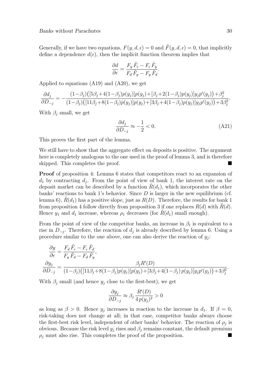Generally, if we have two equations,  $F(y, d, \epsilon) = 0$  and  $\tilde{F}(y, d, \epsilon) = 0$ , that implicitly define a dependence  $d(\epsilon)$ , then the implicit function theorem implies that

$$
\frac{\partial d}{\partial \epsilon} = \frac{F_y \tilde{F}_{\epsilon} - F_{\epsilon} \tilde{F}_y}{F_d \tilde{F}_y - F_y \tilde{F}_d}.
$$

Applied to equations (A19) and (A20), we get

$$
\frac{\partial d_j}{\partial D_{-j}} = -\frac{(1-\beta_j)\big( [5\beta_j+4(1-\beta_j)p(y_j)]p(y_j) + [\beta_j+2(1-\beta_j)p(y_j)]y_jp'(y_j) \big) + \beta_j^2}{(1-\beta_j)\big( [11\beta_j+8(1-\beta_j)p(y_j)]p(y_j) + [3\beta_j+4(1-\beta_j)p(y_j)]y_jp'(y_j) \big) + 3\beta_j^2}.
$$

With  $\beta_i$  small, we get

$$
\frac{\partial d_j}{\partial D_{-j}} \approx -\frac{1}{2} < 0. \tag{A21}
$$

This proves the first part of the lemma.

We still have to show that the aggregate effect on deposits is positive. The argument here is completely analogous to the one used in the proof of lemma 3, and is therefore skipped. This completes the proof.  $\blacksquare$ 

**Proof** of proposition 4: Lemma 6 states that competitors react to an expansion of  $d_1$  by contracting  $d_i$ . From the point of view of bank 1, the interest rate on the deposit market can be described by a function  $R(d_1)$ , which incorporates the other banks' reactions to bank 1's behavior. Since  $D$  is larger in the new equilibrium (cf. lemma 6),  $R(d_1)$  has a positive slope, just as  $R(D)$ . Therefore, the results for bank 1 from proposition 4 follow directly from proposition 3 if one replaces  $R(d)$  with  $\tilde{R}(d)$ . Hence  $y_1$  and  $d_1$  increase, whereas  $\rho_1$  decreases (for  $R(d_1)$  small enough).

From the point of view of the competitor banks, an increase in  $\beta_1$  is equivalent to a rise in  $D_{-i}$ . Therefore, the reaction of  $d_i$  is already described by lemma 6. Using a procedure similar to the one above, one can also derive the reaction of  $y_i$ :

$$
\frac{\partial y}{\partial \epsilon} = \frac{F_d \tilde{F}_{\epsilon} - F_{\epsilon} \tilde{F}_d}{F_y \tilde{F}_d - F_d \tilde{F}_y},
$$
\n
$$
\frac{\partial y_j}{\partial D_{-j}} = \frac{\beta_j R'(D)}{(1 - \beta_j) \left( [11\beta_j + 8(1 - \beta_j) p(y_j)] p(y_j) + [3\beta_j + 4(1 - \beta_j) p(y_j)] y_j p'(y_j) \right) + 3\beta_j^2}.
$$

With  $\beta_i$  small (and hence  $y_i$  close to the first-best), we get

$$
\frac{\partial y_j}{\partial D_{-j}} \approx \beta_j \, \frac{R'(D)}{4 \, p(y_j)^2} > 0
$$

as long as  $\beta > 0$ . Hence  $y_j$  increases in reaction to the increase in  $d_1$ . If  $\beta = 0$ , risk-taking does not change at all; in that case, competitor banks always choose the first-best risk level, independent of other banks' behavior. The reaction of  $\rho_i$  is obvious. Because the risk level  $y_i$  rises and  $\beta_i$  remains constant, the default premium  $\rho_j$  must also rise. This completes the proof of the proposition.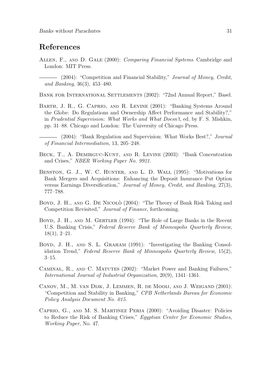### **References**

- ALLEN, F., AND D. GALE (2000): Comparing Financial Systems. Cambridge and London: MIT Press.
	- (2004): "Competition and Financial Stability," Journal of Money, Credit, and Banking, 36(3), 453–480.

Bank for International Settlements (2002): "72nd Annual Report," Basel.

- Barth, J. R., G. Caprio, and R. Levine (2001): "Banking Systems Around the Globe: Do Regulations and Ownership Affect Performance and Stability?," in Prudential Supervision: What Works and What Doesn't, ed. by F. S. Mishkin, pp. 31–88. Chicago and London: The University of Chicago Press.
- $-$  (2004): "Bank Regulation and Supervision: What Works Best?," *Journal* of Financial Intermediation, 13, 205–248.
- BECK, T., A. DEMIRGUC-KUNT, AND R. LEVINE (2003): "Bank Concentration and Crises," NBER Working Paper No. 9921.
- BENSTON, G. J., W. C. HUNTER, AND L. D. WALL (1995): "Motivations for Bank Mergers and Acquisitions: Enhancing the Deposit Insurance Put Option versus Earnings Diversification," Journal of Money, Credit, and Banking, 27(3), 777–788.
- BOYD, J. H., AND G. DE NICOLO<sup>'</sup> (2004): "The Theory of Bank Risk Taking and Competition Revisited," Journal of Finance, forthcoming.
- BOYD, J. H., AND M. GERTLER (1994): "The Role of Large Banks in the Recent U.S. Banking Crisis," Federal Reserve Bank of Minneapolis Quarterly Review, 18(1), 2–21.
- BOYD, J. H., AND S. L. GRAHAM (1991): "Investigating the Banking Consolidation Trend," Federal Reserve Bank of Minneapolis Quarterly Review, 15(2), 3–15.
- CAMINAL, R., AND C. MATUTES (2002): "Market Power and Banking Failures," International Journal of Industrial Organization, 20(9), 1341–1361.
- Canoy, M., M. van Dijk, J. Lemmen, R. de Mooij, and J. Weigand (2001): "Competition and Stability in Banking," CPB Netherlands Bureau for Economic Policy Analysis Document No. 015.
- Caprio, G., and M. S. Martinez Peria (2000): "Avoiding Disaster: Policies to Reduce the Risk of Banking Crises," Egyptian Center for Economic Studies, Working Paper, No. 47.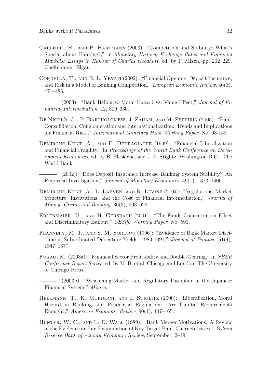- Carletti, E., and P. Hartmann (2003): "Competition and Stability: What's Special about Banking?," in Monetary History, Exchange Rates and Financial Markets: Essays in Honour of Charles Goodhart, ed. by P. Mizen, pp. 202–229. Cheltenham: Elgar.
- CORDELLA, T., AND E. L. YEYATI (2002): "Financial Opening, Deposit Insurance, and Risk in a Model of Banking Competition," European Economic Review, 46(3), 471–485.
	- (2003): "Bank Bailouts: Moral Hazard vs. Value Effect," *Journal of Fi*nancial Intermediation, 12, 300–330.
- DE NICOLÒ, G., P. BARTHOLOMEW, J. ZAHAM, AND M. ZEPHIRIN (2003): "Bank Consolidation, Conglomeration and Internationalization: Trends and Implications for Financial Risk.," International Monetary Fund Working Paper, No. 03-158.
- DEMIRGUC-KUNT, A., AND E. DETRAGIACHE (1999): "Financial Liberalization and Financial Fragility," in Proceedings of the World Bank Conference on Development Economics, ed. by B. Pleskovic, and J. E. Stiglitz. Washington D.C.: The World Bank.
	- (2002): "Does Deposit Insurance Increase Banking System Stability? An Empirical Investigation," Journal of Monetary Economics, 49(7), 1373–1406.
- Demirguc-Kunt, A., L. Laeven, and R. Levine (2004): "Regulations, Market Structure, Institutions, and the Cost of Financial Intermediation," Journal of Money, Credit, and Banking, 36(3), 593–622.
- Erlenmaier, U., and H. Gersbach (2001): "The Funds Concentration Effect and Discriminatory Bailout," CESifo Working Paper, No. 591.
- Flannery, M. J., and S. M. Sorescu (1996): "Evidence of Bank Market Discipline in Subordinated Debenture Yields: 1983-1991," Journal of Finance, 51(4), 1347–1377.
- Fukao, M. (2003a): "Financial Sector Profitability and Double-Gearing," in NBER Conference Report Series, ed. by M. B. et al. Chicago and London: The University of Chicago Press.

- HELLMANN, T., K. MURDOCH, AND J. STIGLITZ (2000): "Liberalization, Moral Hazard in Banking and Prudential Regulation: Are Capital Requirements Enough?," American Economic Review, 90(1), 147–165.
- Hunter, W. C., and L. D. Wall (1989): "Bank Merger Motivations: A Review of the Evidence and an Examination of Key Target Bank Characteristics," Federal Reserve Bank of Atlanta Economic Review, September, 2–19.

<sup>(2003</sup>b): "Weakening Market and Regulatory Discipline in the Japanese Financial System," Mimeo.